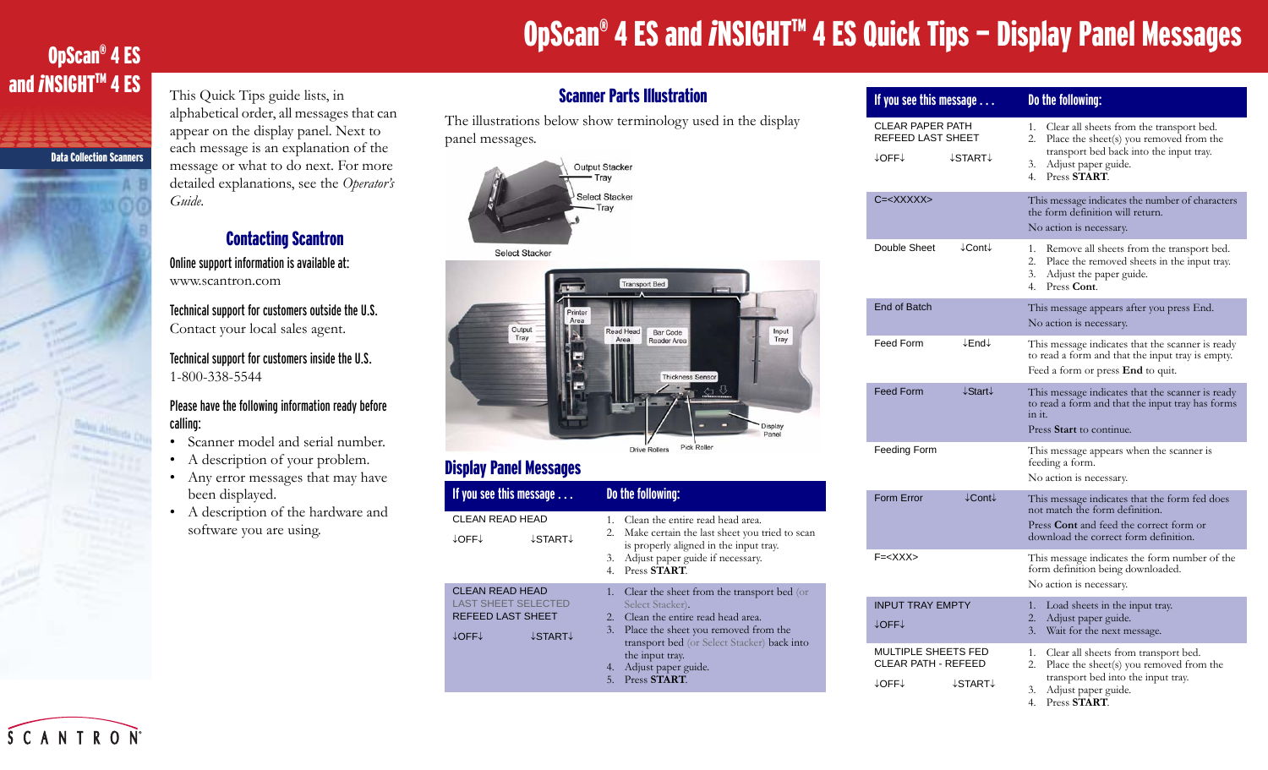# OpScan® 4 ES and *i*NSIGHT<sup>™</sup> 4 ES Quick Tips – Display Panel Messages

### OpScan® 4 ES and *i`*NSIGHT™ 4 ES

Data Collection Scanners

This Quick Tips guide lists, in alphabetical order, all messages that can appear on the display panel. Next to each message is an explanation of the message or what to do next. For more detailed explanations, see the *Operator's Guide*.

#### Contacting Scantron

Online support information is available at: www.scantron.com

Technical support for customers outside the U.S. Contact your local sales agent.

Technical support for customers inside the U.S. 1-800-338-5544

#### Please have the following information ready before calling:

- •Scanner model and serial number.
- •A description of your problem.
- Any error messages that may have been displayed.
- A description of the hardware and software you are using.

#### Scanner Parts Illustration

The illustrations below show terminology used in the display panel messages.





### Display Panel Messages

| If you see this message $\ldots$                                                |  | Do the following:          |                                                                                                                                                                                                                                                     |  |
|---------------------------------------------------------------------------------|--|----------------------------|-----------------------------------------------------------------------------------------------------------------------------------------------------------------------------------------------------------------------------------------------------|--|
| CLEAN READ HEAD<br>↓OFF↓<br>↓START↓                                             |  | 1.<br>2.<br>3.<br>4.       | Clean the entire read head area.<br>Make certain the last sheet you tried to scan<br>is properly aligned in the input tray.<br>Adjust paper guide if necessary.<br>Press START.                                                                     |  |
| CLEAN READ HEAD<br>LAST SHEET SELECTED<br>REFEED LAST SHEET<br>↓START↓<br>↓OFF↓ |  | 1.<br>2.<br>3.<br>4.<br>5. | Clear the sheet from the transport bed (or<br>Select Stacker).<br>Clean the entire read head area.<br>Place the sheet you removed from the<br>transport bed (or Select Stacker) back into<br>the input tray.<br>Adjust paper guide.<br>Press START. |  |

| If you see this message                                                      | Do the following:                                                                                                                                                                                         |  |
|------------------------------------------------------------------------------|-----------------------------------------------------------------------------------------------------------------------------------------------------------------------------------------------------------|--|
| <b>CLEAR PAPER PATH</b><br>REFEED LAST SHEET<br>↓OFF↓<br>↓START↓             | 1.<br>Clear all sheets from the transport bed.<br>2.<br>Place the sheet(s) you removed from the<br>transport bed back into the input tray.<br>Adjust paper guide.<br>3.<br>Press START.<br>4 <sup>1</sup> |  |
| $C = < XXXXXX$                                                               | This message indicates the number of characters<br>the form definition will return.<br>No action is necessary.                                                                                            |  |
| Double Sheet<br>↓Cont↓                                                       | 1. Remove all sheets from the transport bed.<br>2.<br>Place the removed sheets in the input tray.<br>3.<br>Adjust the paper guide.<br>4.<br>Press Cont.                                                   |  |
| End of Batch                                                                 | This message appears after you press End.<br>No action is necessary.                                                                                                                                      |  |
| Feed Form<br>↓End↓                                                           | This message indicates that the scanner is ready<br>to read a form and that the input tray is empty.<br>Feed a form or press <b>End</b> to quit.                                                          |  |
| <b>Feed Form</b><br>↓Start↓                                                  | This message indicates that the scanner is ready<br>to read a form and that the input tray has forms<br>in it.<br>Press Start to continue.                                                                |  |
| Feeding Form                                                                 | This message appears when the scanner is<br>feeding a form.<br>No action is necessary.                                                                                                                    |  |
| Form Error<br>$\downarrow$ Cont $\downarrow$                                 | This message indicates that the form fed does<br>not match the form definition.<br>Press Cont and feed the correct form or<br>download the correct form definition.                                       |  |
| $F = < XXX$                                                                  | This message indicates the form number of the<br>form definition being downloaded.<br>No action is necessary.                                                                                             |  |
| <b>INPUT TRAY EMPTY</b><br>↓OFF↓                                             | 1.<br>Load sheets in the input tray.<br>2.<br>Adjust paper guide.<br>3.<br>Wait for the next message.                                                                                                     |  |
| <b>MULTIPLE SHEETS FED</b><br><b>CLEAR PATH - REFEED</b><br>↓OFF↓<br>↓START↓ | 1.<br>Clear all sheets from transport bed.<br>2.<br>Place the sheet(s) you removed from the<br>transport bed into the input tray.                                                                         |  |

3. Adjust paper guide. 4. Press **START**.